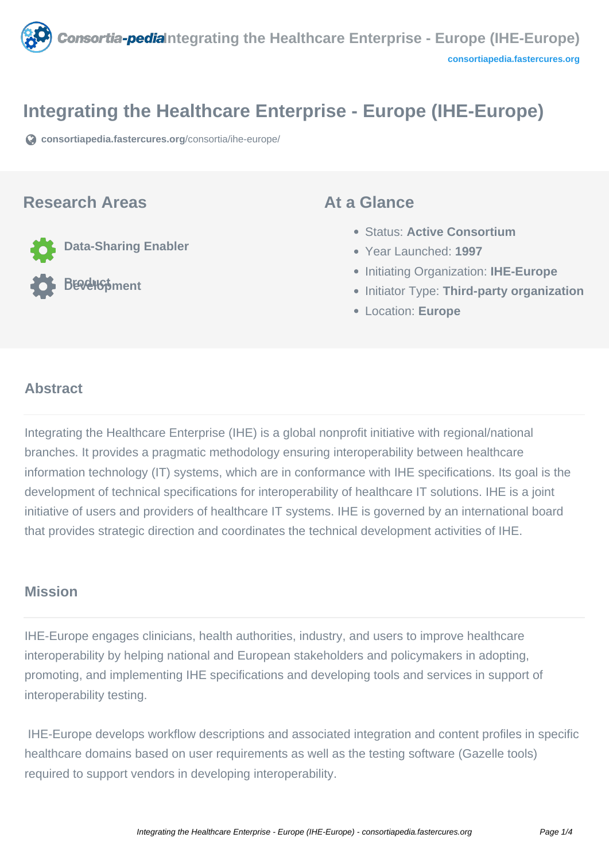

## **Integrating the Healthcare Enterprise - Europe (IHE-Europe)**

**[consortiapedia.fastercures.org](https://consortiapedia.fastercures.org/consortia/ihe-europe/)**[/consortia/ihe-europe/](https://consortiapedia.fastercures.org/consortia/ihe-europe/)

#### **Research Areas**

**Data-Sharing Enabler**

**Product Development**

#### **At a Glance**

- Status: **Active Consortium**
- Year Launched: **1997**
- **Initiating Organization: IHE-Europe**
- **Initiator Type: Third-party organization**
- Location: **Europe**

#### $\overline{a}$ **Abstract**

Integrating the Healthcare Enterprise (IHE) is a global nonprofit initiative with regional/national branches. It provides a pragmatic methodology ensuring interoperability between healthcare information technology (IT) systems, which are in conformance with IHE specifications. Its goal is the development of technical specifications for interoperability of healthcare IT solutions. IHE is a joint initiative of users and providers of healthcare IT systems. IHE is governed by an international board that provides strategic direction and coordinates the technical development activities of IHE.

### **Mission**

IHE-Europe engages clinicians, health authorities, industry, and users to improve healthcare interoperability by helping national and European stakeholders and policymakers in adopting, promoting, and implementing IHE specifications and developing tools and services in support of interoperability testing.

 IHE-Europe develops workflow descriptions and associated integration and content profiles in specific healthcare domains based on user requirements as well as the testing software (Gazelle tools) required to support vendors in developing interoperability.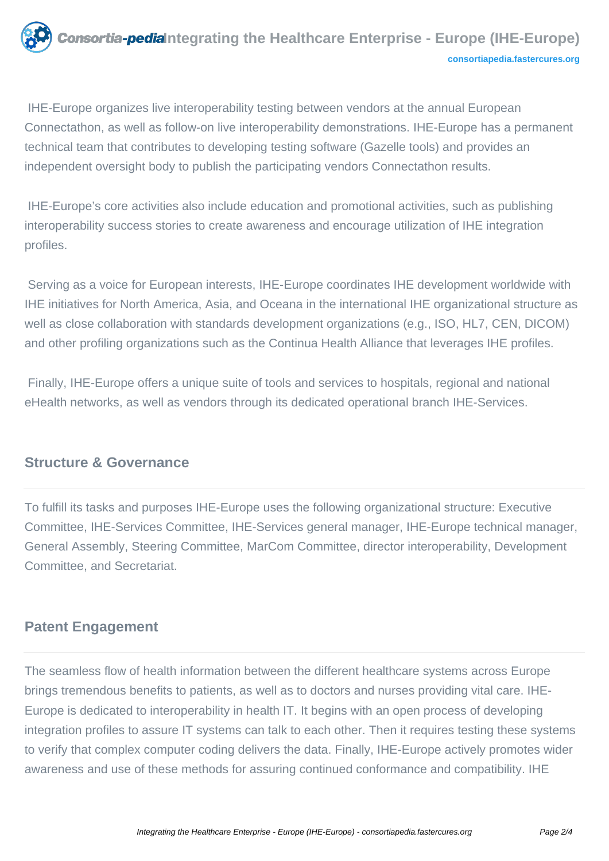

 IHE-Europe organizes live interoperability testing between vendors at the annual European Connectathon, as well as follow-on live interoperability demonstrations. IHE-Europe has a permanent technical team that contributes to developing testing software (Gazelle tools) and provides an independent oversight body to publish the participating vendors Connectathon results.

 IHE-Europe's core activities also include education and promotional activities, such as publishing interoperability success stories to create awareness and encourage utilization of IHE integration profiles.

 Serving as a voice for European interests, IHE-Europe coordinates IHE development worldwide with IHE initiatives for North America, Asia, and Oceana in the international IHE organizational structure as well as close collaboration with standards development organizations (e.g., ISO, HL7, CEN, DICOM) and other profiling organizations such as the Continua Health Alliance that leverages IHE profiles.

 Finally, IHE-Europe offers a unique suite of tools and services to hospitals, regional and national eHealth networks, as well as vendors through its dedicated operational branch IHE-Services.

## **Structure & Governance**

To fulfill its tasks and purposes IHE-Europe uses the following organizational structure: Executive Committee, IHE-Services Committee, IHE-Services general manager, IHE-Europe technical manager, General Assembly, Steering Committee, MarCom Committee, director interoperability, Development Committee, and Secretariat.

# **Patent Engagement**

The seamless flow of health information between the different healthcare systems across Europe brings tremendous benefits to patients, as well as to doctors and nurses providing vital care. IHE-Europe is dedicated to interoperability in health IT. It begins with an open process of developing integration profiles to assure IT systems can talk to each other. Then it requires testing these systems to verify that complex computer coding delivers the data. Finally, IHE-Europe actively promotes wider awareness and use of these methods for assuring continued conformance and compatibility. IHE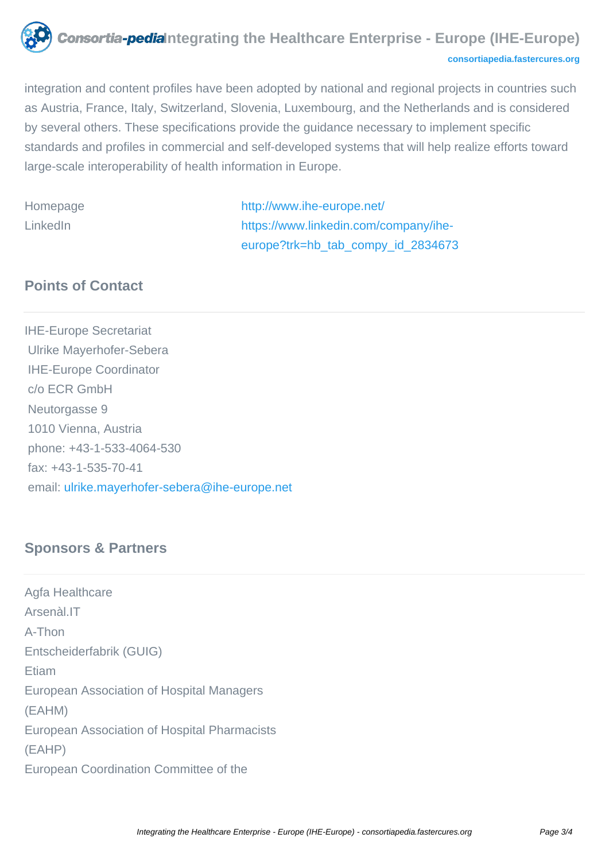

**[consortiapedia.fastercures.org](http://consortiapedia.fastercures.org/)**

integration and content profiles have been adopted by national and regional projects in countries such as Austria, France, Italy, Switzerland, Slovenia, Luxembourg, and the Netherlands and is considered by several others. These specifications provide the guidance necessary to implement specific standards and profiles in commercial and self-developed systems that will help realize efforts toward large-scale interoperability of health information in Europe.

Homepage <http://www.ihe-europe.net/> LinkedIn [https://www.linkedin.com/company/ihe](https://www.linkedin.com/company/ihe-europe?trk=hb_tab_compy_id_2834673)[europe?trk=hb\\_tab\\_compy\\_id\\_2834673](https://www.linkedin.com/company/ihe-europe?trk=hb_tab_compy_id_2834673)

# **Points of Contact**

IHE-Europe Secretariat Ulrike Mayerhofer-Sebera IHE-Europe Coordinator c/o ECR GmbH Neutorgasse 9 1010 Vienna, Austria phone: +43-1-533-4064-530 fax: +43-1-535-70-41 email: [ulrike.mayerhofer-sebera@ihe-europe.net](mailto:ulrike.mayerhofer-sebera@ihe-europe.net)

# **Sponsors & Partners**

Agfa Healthcare Arsenàl.IT A-Thon Entscheiderfabrik (GUIG) Etiam European Association of Hospital Managers (EAHM) European Association of Hospital Pharmacists (EAHP) European Coordination Committee of the